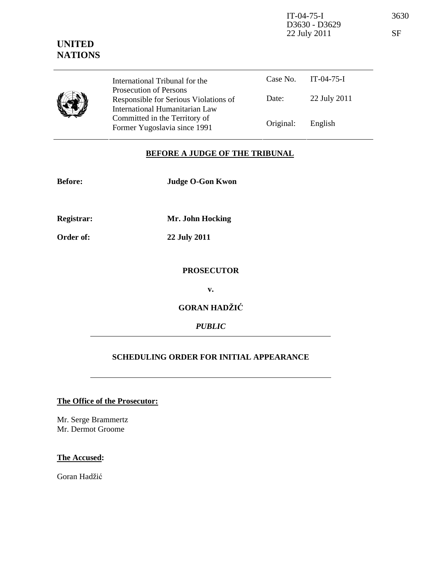IT-04-75-I 3630 D3630 - D3629 22 July 2011 SF

Case No. IT-04-75-I Date: 22 July 2011 International Tribunal for the Prosecution of Persons Responsible for Serious Violations of International Humanitarian Law Committed in the Territory of Former Yugoslavia since 1991 **Original:** English

## **BEFORE A JUDGE OF THE TRIBUNAL**

| <b>Before:</b>    | <b>Judge O-Gon Kwon</b> |  |
|-------------------|-------------------------|--|
| <b>Registrar:</b> | Mr. John Hocking        |  |
| Order of:         | 22 July 2011            |  |
|                   | <b>PROSECUTOR</b>       |  |
|                   | v.                      |  |
|                   | <b>GORAN HADŽIĆ</b>     |  |
|                   | <b>PUBLIC</b>           |  |
|                   |                         |  |

## **SCHEDULING ORDER FOR INITIAL APPEARANCE**

## **The Office of the Prosecutor:**

Mr. Serge Brammertz Mr. Dermot Groome

## **The Accused:**

Goran Hadžić